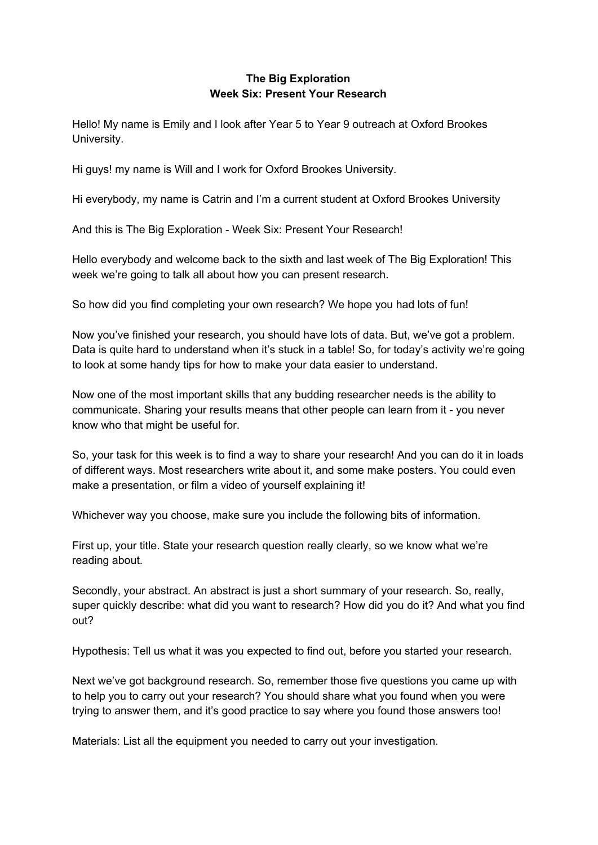## **The Big Exploration Week Six: Present Your Research**

Hello! My name is Emily and I look after Year 5 to Year 9 outreach at Oxford Brookes University.

Hi guys! my name is Will and I work for Oxford Brookes University.

Hi everybody, my name is Catrin and I'm a current student at Oxford Brookes University

And this is The Big Exploration - Week Six: Present Your Research!

Hello everybody and welcome back to the sixth and last week of The Big Exploration! This week we're going to talk all about how you can present research.

So how did you find completing your own research? We hope you had lots of fun!

Now you've finished your research, you should have lots of data. But, we've got a problem. Data is quite hard to understand when it's stuck in a table! So, for today's activity we're going to look at some handy tips for how to make your data easier to understand.

Now one of the most important skills that any budding researcher needs is the ability to communicate. Sharing your results means that other people can learn from it - you never know who that might be useful for.

So, your task for this week is to find a way to share your research! And you can do it in loads of different ways. Most researchers write about it, and some make posters. You could even make a presentation, or film a video of yourself explaining it!

Whichever way you choose, make sure you include the following bits of information.

First up, your title. State your research question really clearly, so we know what we're reading about.

Secondly, your abstract. An abstract is just a short summary of your research. So, really, super quickly describe: what did you want to research? How did you do it? And what you find out?

Hypothesis: Tell us what it was you expected to find out, before you started your research.

Next we've got background research. So, remember those five questions you came up with to help you to carry out your research? You should share what you found when you were trying to answer them, and it's good practice to say where you found those answers too!

Materials: List all the equipment you needed to carry out your investigation.